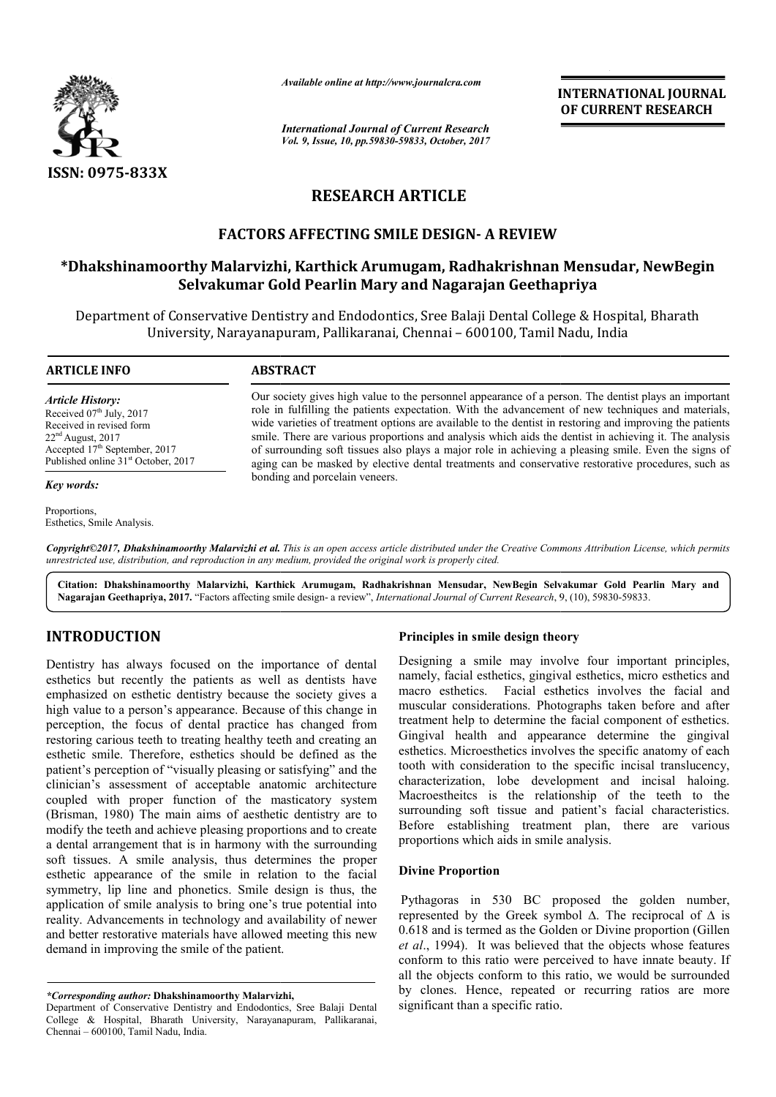

*Available online at http://www.journalcra.com*

*International Journal of Current Research Vol. 9, Issue, 10, pp.59830-59833, October, 2017* **INTERNATIONAL JOURNAL OF CURRENT RESEARCH** 

# **RESEARCH ARTICLE**

# **FACTORS AFFECTING SMILE DESIGN DESIGN- A REVIEW**

# **\*Dhakshinamoorthy Malarvizhi, Karthick Arumugam, Radhakrishnan Mensudar, NewBegin Dhakshinamoorthy Nagarajan Geethapriya Selvakumar Gold Pearlin Mary and Nagarajan Geethapriya**

Department of Conservative Dentistry and Endodontics, Sree Balaji Dental College & Hospital, Bharath University, Narayanapuram, Pallikaranai, Chennai – 600100, Tamil Nadu, India

#### **ARTICLE INFO ABSTRACT**

*Article History:* Received 07<sup>th</sup> July, 2017 Received in revised form 22nd August, 2017 Accepted 17<sup>th</sup> September, 2017 Published online 31<sup>st</sup> October, 2017

*Key words:*

Proportions, Esthetics, Smile Analysis. Our society gives high value to the personnel appearance of a person. The dentist plays an important role in fulfilling the patients expectation. With the advancement of new techniques and materials, wide varieties of treatment options are available to the dentist in restoring and improving the patients smile. There are various proportions and analysis which aids the dentist in achieving it. The analysis of surrounding soft tissues also plays a major role in achieving a pleasing smile. Even the signs of aging can be masked by elective dental treatments and conservative restorative procedures, bonding and porcelain veneers. society gives high value to the personnel appearance of a person. The dentist plays an important<br>in fulfilling the patients expectation. With the advancement of new techniques and materials,<br>varieties of treatment options ile. There are various proportions and analysis which aids the dentist in achieving it. The analysis surrounding soft tissues also plays a major role in achieving a pleasing smile. Even the signs of ng can be masked by ele

Copyright©2017, Dhakshinamoorthy Malarvizhi et al. This is an open access article distributed under the Creative Commons Attribution License, which permits *unrestricted use, distribution, and reproduction in any medium, provided the original work is properly cited.*

**Citation: Dhakshinamoorthy Malarvizhi, Karthick Arumugam, Radhakrishnan Mensudar, NewBegin Selvakumar Gold Pearlin Mary and Karthick Gold** Nagarajan Geethapriya, 2017. "Factors affecting smile design- a review", *International Journal of Current Research*, 9, (10), 59830-59833.

# **INTRODUCTION**

Dentistry has always focused on the importance of dental esthetics but recently the patients as well as dentists have emphasized on esthetic dentistry because the society gives a high value to a person's appearance. Because of this change in perception, the focus of dental practice has changed from restoring carious teeth to treating healthy teeth and creating an esthetic smile. Therefore, esthetics should be defined as the patient's perception of "visually pleasing or satisfying" and the clinician's assessment of acceptable anatomic architecture coupled with proper function of the masticatory system (Brisman, 1980) The main aims of aesthetic dentistry are to modify the teeth and achieve pleasing proportions and to create a dental arrangement that is in harmony with the surrounding soft tissues. A smile analysis, thus determines the proper esthetic appearance of the smile in relation to the facial symmetry, lip line and phonetics. Smile design is thus, the application of smile analysis to bring one's true potential into reality. Advancements in technology and availability of newer and better restorative materials have allowed meeting this new demand in improving the smile of the patient. ious teeth to treating healthy teeth and creating an le. Therefore, esthetics should be defined as the ception of "visually pleasing or satisfying" and the assessment of acceptable anatomic architecture th proper function

## **Principles in smile design theory design theory**

Designing a smile may involve four important principles, Designing a smile may involve four important principles, namely, facial esthetics, gingival esthetics, micro esthetics and macro esthetics. Facial esthetics involves the facial and muscular considerations. Photographs taken before and after treatment help to determine the facial component of esthetics. Gingival health and appearance determine the gingival esthetics. Microesthetics involves the specific anatomy of each tooth with consideration to the specific incisal translucency, characterization, lobe development and incisal haloing. Macroestheitcs is the relationship of the teeth to the surrounding soft tissue and patient's facial characteristics. Before establishing treatment plan, there are various proportions which aids in smile analysis. muscular considerations. Photographs taken before and after treatment help to determine the facial component of esthetics. Gingival esthetics. Microesthetics involves the specific anatomy of each tooth with consideration **INTERNATIONAL JOURNAL**<br>
OF CURRENT RESEARCH<br>
2017<br>
And OF CURRENT RESEARCH<br>
2017<br>
And A<br> **CONTENT CONTING CONTIFICAT CONTIFICAT**<br> **CONTIFICAT CONTIFICAT CONTIFICAT CONTIFICAT CONTIFICATION**<br>
41 and CONTENT CONTIFICATION

## **Divine Proportion**

Pythagoras in 530 BC proposed the golden number, represented by the Greek symbol  $\Delta$ . The reciprocal of  $\Delta$  is 0.618 and is termed as the Golden or Divine proportion Divine (Gillen *et al*., 1994). It was believed that the objects whose features conform to this ratio were perceived to have innate beauty. If conform to this ratio were perceived to have innate beauty. If all the objects conform to this ratio, we would be surrounded by clones. Hence, repeated or recurring ratios are more significant than a specific ratio.

*<sup>\*</sup>Corresponding author:* **Dhakshinamoorthy Malarvizhi,**

Department of Conservative Dentistry and Endodontics, Sree Balaji Dental College & Hospital, Bharath University, Narayanapuram, Pallikaranai, Chennai – 600100, Tamil Nadu, India.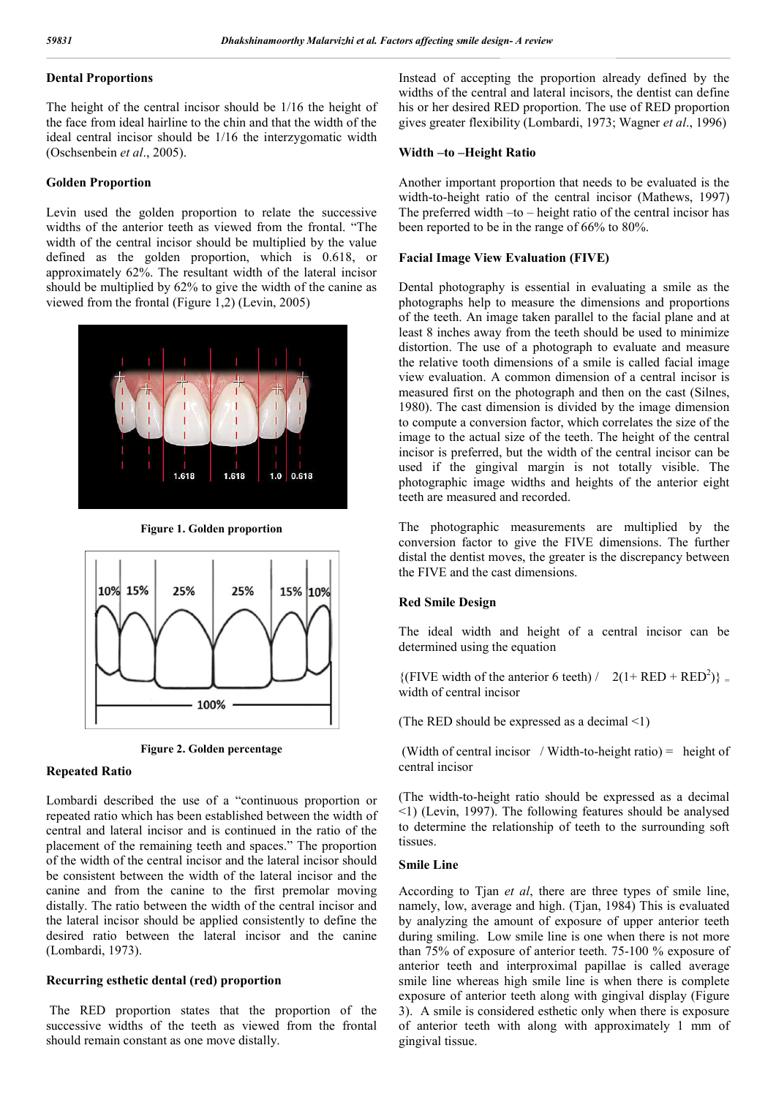## **Dental Proportions**

The height of the central incisor should be 1/16 the height of the face from ideal hairline to the chin and that the width of the ideal central incisor should be 1/16 the interzygomatic width (Oschsenbein *et al*., 2005).

### **Golden Proportion**

Levin used the golden proportion to relate the successive widths of the anterior teeth as viewed from the frontal. "The width of the central incisor should be multiplied by the value defined as the golden proportion, which is 0.618, or approximately 62%. The resultant width of the lateral incisor should be multiplied by 62% to give the width of the canine as viewed from the frontal (Figure 1,2) (Levin, 2005)



**Figure 1. Golden proportion**



**Figure 2. Golden percentage**

#### **Repeated Ratio**

Lombardi described the use of a "continuous proportion or repeated ratio which has been established between the width of central and lateral incisor and is continued in the ratio of the placement of the remaining teeth and spaces." The proportion of the width of the central incisor and the lateral incisor should be consistent between the width of the lateral incisor and the canine and from the canine to the first premolar moving distally. The ratio between the width of the central incisor and the lateral incisor should be applied consistently to define the desired ratio between the lateral incisor and the canine (Lombardi, 1973).

## **Recurring esthetic dental (red) proportion**

The RED proportion states that the proportion of the successive widths of the teeth as viewed from the frontal should remain constant as one move distally.

Instead of accepting the proportion already defined by the widths of the central and lateral incisors, the dentist can define his or her desired RED proportion. The use of RED proportion gives greater flexibility (Lombardi, 1973; Wagner *et al*., 1996)

#### **Width –to –Height Ratio**

Another important proportion that needs to be evaluated is the width-to-height ratio of the central incisor (Mathews, 1997) The preferred width –to – height ratio of the central incisor has been reported to be in the range of 66% to 80%.

## **Facial Image View Evaluation (FIVE)**

Dental photography is essential in evaluating a smile as the photographs help to measure the dimensions and proportions of the teeth. An image taken parallel to the facial plane and at least 8 inches away from the teeth should be used to minimize distortion. The use of a photograph to evaluate and measure the relative tooth dimensions of a smile is called facial image view evaluation. A common dimension of a central incisor is measured first on the photograph and then on the cast (Silnes, 1980). The cast dimension is divided by the image dimension to compute a conversion factor, which correlates the size of the image to the actual size of the teeth. The height of the central incisor is preferred, but the width of the central incisor can be used if the gingival margin is not totally visible. The photographic image widths and heights of the anterior eight teeth are measured and recorded.

The photographic measurements are multiplied by the conversion factor to give the FIVE dimensions. The further distal the dentist moves, the greater is the discrepancy between the FIVE and the cast dimensions.

#### **Red Smile Design**

The ideal width and height of a central incisor can be determined using the equation

{(FIVE width of the anterior 6 teeth) /  $2(1+RED+RED^2)$ } = width of central incisor

(The RED should be expressed as a decimal  $\leq 1$ )

(Width of central incisor / Width-to-height ratio) = height of central incisor

(The width-to-height ratio should be expressed as a decimal <1) (Levin, 1997). The following features should be analysed to determine the relationship of teeth to the surrounding soft tissues.

## **Smile Line**

According to Tjan *et al*, there are three types of smile line, namely, low, average and high. (Tjan, 1984) This is evaluated by analyzing the amount of exposure of upper anterior teeth during smiling. Low smile line is one when there is not more than 75% of exposure of anterior teeth. 75-100 % exposure of anterior teeth and interproximal papillae is called average smile line whereas high smile line is when there is complete exposure of anterior teeth along with gingival display (Figure 3). A smile is considered esthetic only when there is exposure of anterior teeth with along with approximately 1 mm of gingival tissue.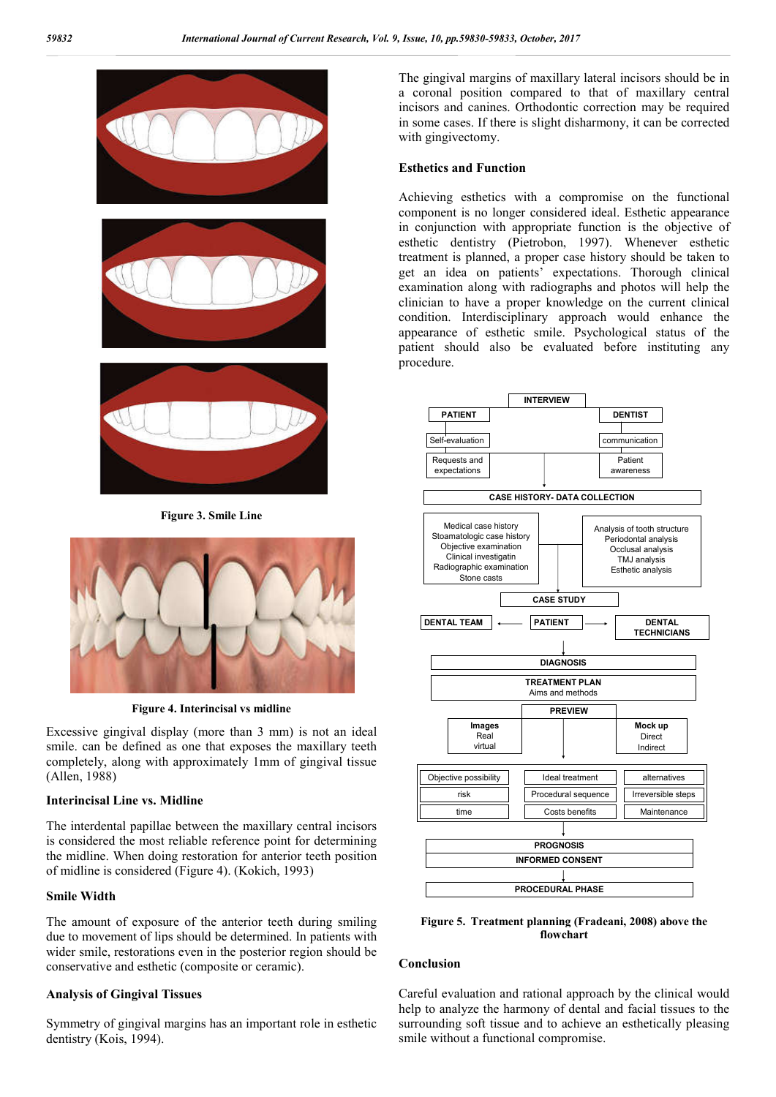

**Figure 3. Smile Line**



**Figure 4. Interincisal vs midline**

Excessive gingival display (more than 3 mm) is not an ideal smile. can be defined as one that exposes the maxillary teeth completely, along with approximately 1mm of gingival tissue (Allen, 1988)

## **Interincisal Line vs. Midline**

The interdental papillae between the maxillary central incisors is considered the most reliable reference point for determining the midline. When doing restoration for anterior teeth position of midline is considered (Figure 4). (Kokich, 1993)

## **Smile Width**

The amount of exposure of the anterior teeth during smiling due to movement of lips should be determined. In patients with wider smile, restorations even in the posterior region should be conservative and esthetic (composite or ceramic).

## **Analysis of Gingival Tissues**

Symmetry of gingival margins has an important role in esthetic dentistry (Kois, 1994).

The gingival margins of maxillary lateral incisors should be in a coronal position compared to that of maxillary central incisors and canines. Orthodontic correction may be required in some cases. If there is slight disharmony, it can be corrected with gingivectomy.

### **Esthetics and Function**

Achieving esthetics with a compromise on the functional component is no longer considered ideal. Esthetic appearance in conjunction with appropriate function is the objective of esthetic dentistry (Pietrobon, 1997). Whenever esthetic treatment is planned, a proper case history should be taken to get an idea on patients' expectations. Thorough clinical examination along with radiographs and photos will help the clinician to have a proper knowledge on the current clinical condition. Interdisciplinary approach would enhance the appearance of esthetic smile. Psychological status of the patient should also be evaluated before instituting any procedure.



**Figure 5. Treatment planning (Fradeani, 2008) above the flowchart**

#### **Conclusion**

Careful evaluation and rational approach by the clinical would help to analyze the harmony of dental and facial tissues to the surrounding soft tissue and to achieve an esthetically pleasing smile without a functional compromise.